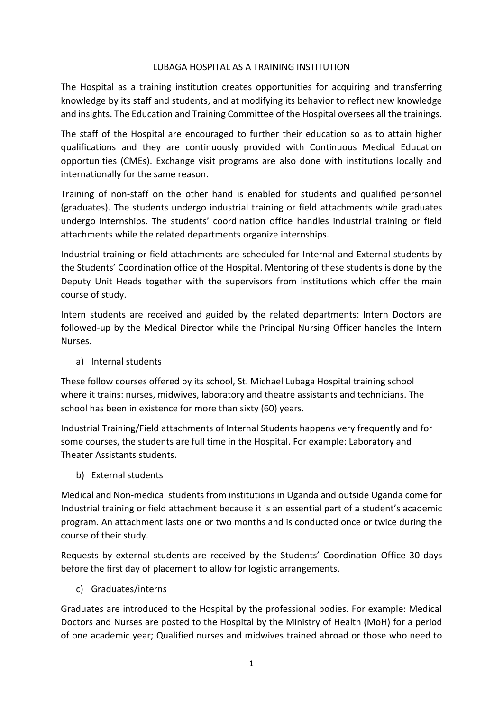## LUBAGA HOSPITAL AS A TRAINING INSTITUTION

The Hospital as a training institution creates opportunities for acquiring and transferring knowledge by its staff and students, and at modifying its behavior to reflect new knowledge and insights. The Education and Training Committee of the Hospital oversees all the trainings.

The staff of the Hospital are encouraged to further their education so as to attain higher qualifications and they are continuously provided with Continuous Medical Education opportunities (CMEs). Exchange visit programs are also done with institutions locally and internationally for the same reason.

Training of non-staff on the other hand is enabled for students and qualified personnel (graduates). The students undergo industrial training or field attachments while graduates undergo internships. The students' coordination office handles industrial training or field attachments while the related departments organize internships.

Industrial training or field attachments are scheduled for Internal and External students by the Students' Coordination office of the Hospital. Mentoring of these students is done by the Deputy Unit Heads together with the supervisors from institutions which offer the main course of study.

Intern students are received and guided by the related departments: Intern Doctors are followed-up by the Medical Director while the Principal Nursing Officer handles the Intern Nurses.

a) Internal students

These follow courses offered by its school, St. Michael Lubaga Hospital training school where it trains: nurses, midwives, laboratory and theatre assistants and technicians. The school has been in existence for more than sixty (60) years.

Industrial Training/Field attachments of Internal Students happens very frequently and for some courses, the students are full time in the Hospital. For example: Laboratory and Theater Assistants students.

b) External students

Medical and Non-medical students from institutions in Uganda and outside Uganda come for Industrial training or field attachment because it is an essential part of a student's academic program. An attachment lasts one or two months and is conducted once or twice during the course of their study.

Requests by external students are received by the Students' Coordination Office 30 days before the first day of placement to allow for logistic arrangements.

c) Graduates/interns

Graduates are introduced to the Hospital by the professional bodies. For example: Medical Doctors and Nurses are posted to the Hospital by the Ministry of Health (MoH) for a period of one academic year; Qualified nurses and midwives trained abroad or those who need to